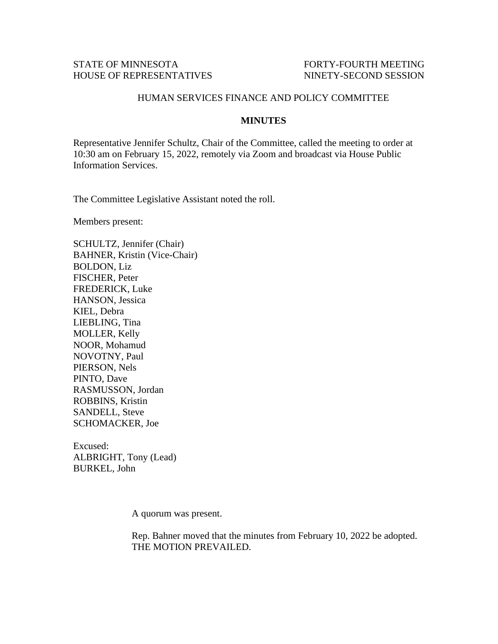## STATE OF MINNESOTA FORTY-FOURTH MEETING HOUSE OF REPRESENTATIVES NINETY-SECOND SESSION

## HUMAN SERVICES FINANCE AND POLICY COMMITTEE

## **MINUTES**

Representative Jennifer Schultz, Chair of the Committee, called the meeting to order at 10:30 am on February 15, 2022, remotely via Zoom and broadcast via House Public Information Services.

The Committee Legislative Assistant noted the roll.

Members present:

SCHULTZ, Jennifer (Chair) BAHNER, Kristin (Vice-Chair) BOLDON, Liz FISCHER, Peter FREDERICK, Luke HANSON, Jessica KIEL, Debra LIEBLING, Tina MOLLER, Kelly NOOR, Mohamud NOVOTNY, Paul PIERSON, Nels PINTO, Dave RASMUSSON, Jordan ROBBINS, Kristin SANDELL, Steve SCHOMACKER, Joe

Excused: ALBRIGHT, Tony (Lead) BURKEL, John

A quorum was present.

Rep. Bahner moved that the minutes from February 10, 2022 be adopted. THE MOTION PREVAILED.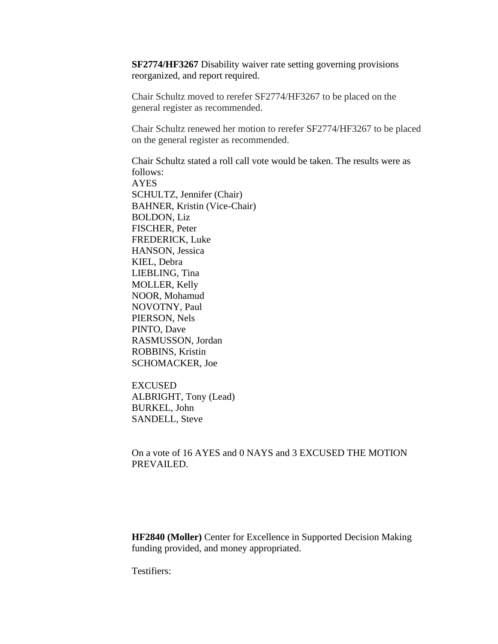**SF2774/HF3267** Disability waiver rate setting governing provisions reorganized, and report required.

Chair Schultz moved to rerefer SF2774/HF3267 to be placed on the general register as recommended.

Chair Schultz renewed her motion to rerefer SF2774/HF3267 to be placed on the general register as recommended.

Chair Schultz stated a roll call vote would be taken. The results were as follows: AYES SCHULTZ, Jennifer (Chair) BAHNER, Kristin (Vice-Chair) BOLDON, Liz FISCHER, Peter FREDERICK, Luke HANSON, Jessica KIEL, Debra LIEBLING, Tina MOLLER, Kelly NOOR, Mohamud NOVOTNY, Paul PIERSON, Nels PINTO, Dave RASMUSSON, Jordan ROBBINS, Kristin SCHOMACKER, Joe

EXCUSED ALBRIGHT, Tony (Lead) BURKEL, John SANDELL, Steve

On a vote of 16 AYES and 0 NAYS and 3 EXCUSED THE MOTION PREVAILED.

**HF2840 (Moller)** Center for Excellence in Supported Decision Making funding provided, and money appropriated.

Testifiers: